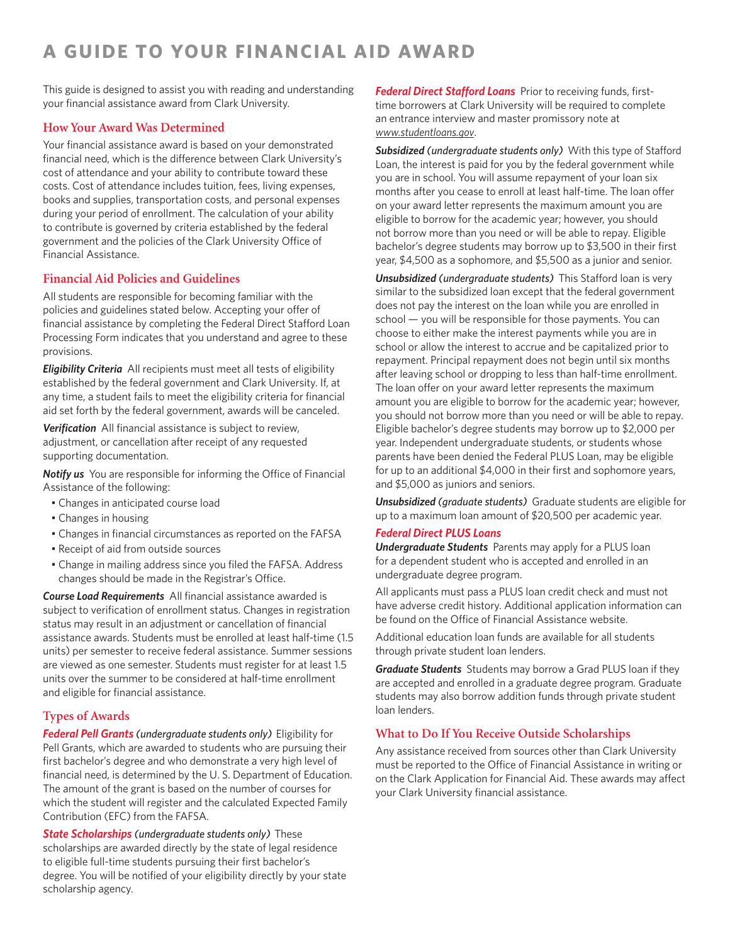# **A GUIDE TO YOUR FINANCIAL AID AWARD**

This guide is designed to assist you with reading and understanding your financial assistance award from Clark University.

# **How Your Award Was Determined**

Your financial assistance award is based on your demonstrated fnancial need, which is the diference between Clark University's cost of attendance and your ability to contribute toward these costs. Cost of attendance includes tuition, fees, living expenses, books and supplies, transportation costs, and personal expenses during your period of enrollment. The calculation of your ability to contribute is governed by criteria established by the federal government and the policies of the Clark University Office of Financial Assistance.

# **Financial Aid Policies and Guidelines**

All students are responsible for becoming familiar with the policies and guidelines stated below. Accepting your offer of fnancial assistance by completing the Federal Direct Staford Loan Processing Form indicates that you understand and agree to these provisions.

**Eligibility Criteria** All recipients must meet all tests of eligibility established by the federal government and Clark University. If, at any time, a student fails to meet the eligibility criteria for financial aid set forth by the federal government, awards will be canceled.

Verification All financial assistance is subject to review, adjustment, or cancellation after receipt of any requested supporting documentation.

**Notify us** You are responsible for informing the Office of Financial Assistance of the following:

- Changes in anticipated course load
- Changes in housing
- Changes in financial circumstances as reported on the FAFSA
- Receipt of aid from outside sources
- Change in mailing address since you filed the FAFSA. Address changes should be made in the Registrar's Office.

**Course Load Requirements** All financial assistance awarded is subject to verification of enrollment status. Changes in registration status may result in an adjustment or cancellation of fnancial assistance awards. Students must be enrolled at least half-time (1.5 units) per semester to receive federal assistance. Summer sessions are viewed as one semester. Students must register for at least 1.5 units over the summer to be considered at half-time enrollment and eligible for financial assistance.

# **Types of Awards**

*Federal Pell Grants (undergraduate students only)*  Eligibility for Pell Grants, which are awarded to students who are pursuing their first bachelor's degree and who demonstrate a very high level of fnancial need, is determined by the U. S. Department of Education. The amount of the grant is based on the number of courses for which the student will register and the calculated Expected Family Contribution (EFC) from the FAFSA.

*State Scholarships (undergraduate students only)*  These scholarships are awarded directly by the state of legal residence to eligible full-time students pursuing their first bachelor's degree. You will be notifed of your eligibility directly by your state scholarship agency.

**Federal Direct Stafford Loans** Prior to receiving funds, firsttime borrowers at Clark University will be required to complete an entrance interview and master promissory note at *<www.studentloans.gov>*.

Subsidized (undergraduate students only) With this type of Stafford Loan, the interest is paid for you by the federal government while you are in school. You will assume repayment of your loan six months after you cease to enroll at least half-time. The loan offer on your award letter represents the maximum amount you are eligible to borrow for the academic year; however, you should not borrow more than you need or will be able to repay. Eligible bachelor's degree students may borrow up to \$3,500 in their frst year, \$4,500 as a sophomore, and \$5,500 as a junior and senior.

*Unsubsidized (undergraduate students)* This Stafford loan is very similar to the subsidized loan except that the federal government does not pay the interest on the loan while you are enrolled in school — you will be responsible for those payments. You can choose to either make the interest payments while you are in school or allow the interest to accrue and be capitalized prior to repayment. Principal repayment does not begin until six months after leaving school or dropping to less than half-time enrollment. The loan offer on your award letter represents the maximum amount you are eligible to borrow for the academic year; however, you should not borrow more than you need or will be able to repay. Eligible bachelor's degree students may borrow up to \$2,000 per year. Independent undergraduate students, or students whose parents have been denied the Federal PLUS Loan, may be eligible for up to an additional \$4,000 in their first and sophomore years, and \$5,000 as juniors and seniors.

*Unsubsidized (graduate students)* Graduate students are eligible for up to a maximum loan amount of \$20,500 per academic year.

### *Federal Direct PLUS Loans*

*Undergraduate Students* Parents may apply for a PLUS loan for a dependent student who is accepted and enrolled in an undergraduate degree program.

All applicants must pass a PLUS loan credit check and must not have adverse credit history. Additional application information can be found on the Office of Financial Assistance website.

Additional education loan funds are available for all students through private student loan lenders.

*Graduate Students* Students may borrow a Grad PLUS loan if they are accepted and enrolled in a graduate degree program. Graduate students may also borrow addition funds through private student loan lenders.

## **What to Do If You Receive Outside Scholarships**

Any assistance received from sources other than Clark University must be reported to the Office of Financial Assistance in writing or on the Clark Application for Financial Aid. These awards may afect your Clark University financial assistance.